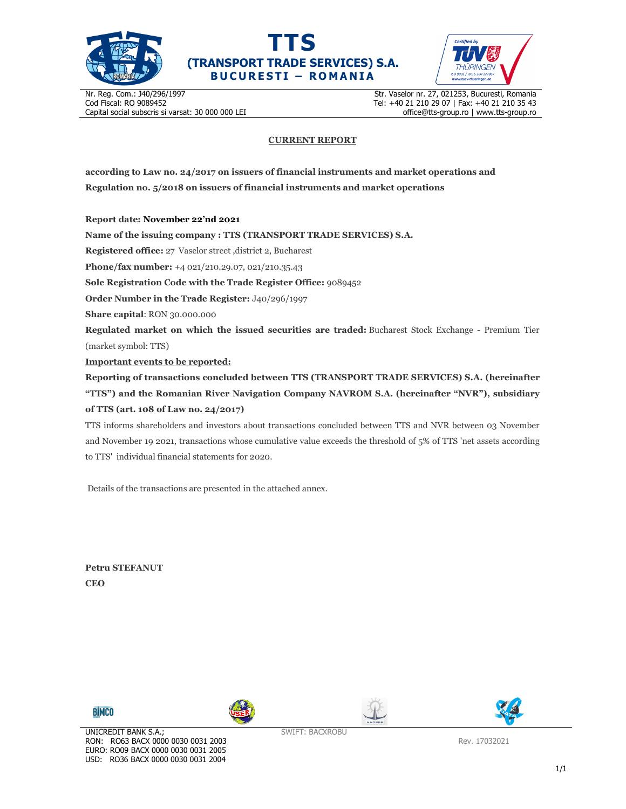





Nr. Reg. Com.: J40/296/1997 Cod Fiscal: RO 9089452 Capital social subscris si varsat: 30 000 000 LEI Str. Vaselor nr. 27, 021253, Bucuresti, Romania Tel: +40 21 210 29 07 | Fax: +40 21 210 35 43 office@tts-group.ro | www.tts-group.ro

## **CURRENT REPORT**

**according to Law no. 24/2017 on issuers of financial instruments and market operations and Regulation no. 5/2018 on issuers of financial instruments and market operations** 

**Report date: November 22'nd 2021**

**Name of the issuing company : TTS (TRANSPORT TRADE SERVICES) S.A.**

**Registered office:** 27 Vaselor street ,district 2, Bucharest

**Phone/fax number:** +4 021/210.29.07, 021/210.35.43

**Sole Registration Code with the Trade Register Office:** 9089452

**Order Number in the Trade Register:** J40/296/1997

**Share capital**: RON 30.000.000

**Regulated market on which the issued securities are traded:** Bucharest Stock Exchange - Premium Tier (market symbol: TTS)

**Important events to be reported:**

**Reporting of transactions concluded between TTS (TRANSPORT TRADE SERVICES) S.A. (hereinafter "TTS") and the Romanian River Navigation Company NAVROM S.A. (hereinafter "NVR"), subsidiary of TTS (art. 108 of Law no. 24/2017)** 

TTS informs shareholders and investors about transactions concluded between TTS and NVR between 03 November and November 19 2021, transactions whose cumulative value exceeds the threshold of 5% of TTS 'net assets according to TTS' individual financial statements for 2020.

Details of the transactions are presented in the attached annex.

**Petru STEFANUT CEO** 









SWIFT: BACXROBU

Rev. 17032021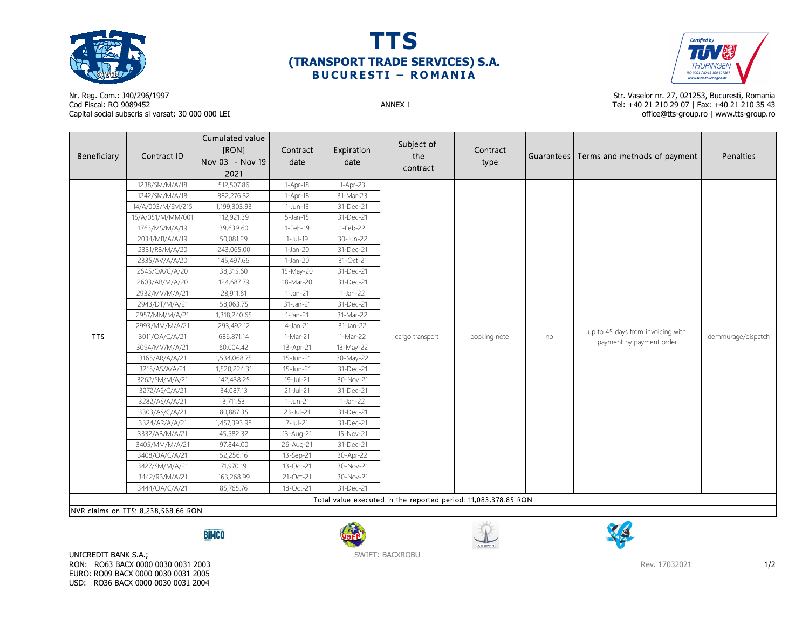

 $\sim$ 





## Nr. Reg. Com.: J40/296/1997Cod Fiscal: RO 9089452 ANNEX 1 Capital social subscris si varsat: 30 000 000 LEI

Str. Vaselor nr. 27, 021253, Bucuresti, Romania Tel: +40 21 210 29 07 | Fax: +40 21 210 35 43 office@tts-group.ro | www.tts-group.ro

| Beneficiary                                                    | Contract ID                         | Cumulated value<br>[RON]<br>Nov 03 - Nov 19<br>2021 | Contract<br>date | Expiration<br>date | Subject of<br>the<br>contract | Contract<br>type |    | Guarantees Terms and methods of payment                       | Penalties          |  |  |
|----------------------------------------------------------------|-------------------------------------|-----------------------------------------------------|------------------|--------------------|-------------------------------|------------------|----|---------------------------------------------------------------|--------------------|--|--|
|                                                                | 1238/SM/M/A/18                      | 512,507.86                                          | 1-Apr-18         | 1-Apr-23           |                               |                  | no | up to 45 days from invoicing with<br>payment by payment order | demmurage/dispatch |  |  |
|                                                                | 1242/SM/M/A/18                      | 882,276.32                                          | $1-Apr-18$       | 31-Mar-23          |                               |                  |    |                                                               |                    |  |  |
|                                                                | 14/A/003/M/SM/215                   | 1,199,303.93                                        | $1-Jun-13$       | 31-Dec-21          |                               |                  |    |                                                               |                    |  |  |
|                                                                | 15/A/051/M/MM/001                   | 112,921.39                                          | $5$ -Jan-15      | 31-Dec-21          |                               |                  |    |                                                               |                    |  |  |
|                                                                | 1763/MS/M/A/19                      | 39,639.60                                           | 1-Feb-19         | 1-Feb-22           |                               |                  |    |                                                               |                    |  |  |
|                                                                | 2034/MB/A/A/19                      | 50,081.29                                           | 1-Jul-19         | 30-Jun-22          |                               |                  |    |                                                               |                    |  |  |
|                                                                | 2331/RB/M/A/20                      | 243,065.00                                          | $1-Jan-20$       | 31-Dec-21          |                               |                  |    |                                                               |                    |  |  |
|                                                                | 2335/AV/A/A/20                      | 145,497.66                                          | $1-Jan-20$       | 31-Oct-21          |                               |                  |    |                                                               |                    |  |  |
|                                                                | 2545/OA/C/A/20                      | 38,315.60                                           | 15-May-20        | 31-Dec-21          |                               |                  |    |                                                               |                    |  |  |
|                                                                | 2603/AB/M/A/20                      | 124,687.79                                          | 18-Mar-20        | 31-Dec-21          |                               |                  |    |                                                               |                    |  |  |
|                                                                | 2932/MV/M/A/21                      | 28,911.61                                           | $1-Jan-21$       | $1-Jan-22$         |                               |                  |    |                                                               |                    |  |  |
|                                                                | 2943/DT/M/A/21                      | 58,063.75                                           | 31-Jan-21        | 31-Dec-21          |                               |                  |    |                                                               |                    |  |  |
|                                                                | 2957/MM/M/A/21                      | 1,318,240.65                                        | $1-Jan-21$       | 31-Mar-22          | cargo transport               | booking note     |    |                                                               |                    |  |  |
|                                                                | 2993/MM/M/A/21                      | 293,492.12                                          | $4$ -Jan-21      | 31-Jan-22          |                               |                  |    |                                                               |                    |  |  |
| <b>TTS</b>                                                     | 3011/OA/C/A/21                      | 686,871.14                                          | $1-Mar-21$       | 1-Mar-22           |                               |                  |    |                                                               |                    |  |  |
|                                                                | 3094/MV/M/A/21                      | 60,004.42                                           | 13-Apr-21        | 13-May-22          |                               |                  |    |                                                               |                    |  |  |
|                                                                | 3165/AR/A/A/21                      | 1,534,068.75                                        | 15-Jun-21        | 30-May-22          |                               |                  |    |                                                               |                    |  |  |
|                                                                | 3215/AS/A/A/21                      | 1,520,224.31                                        | 15-Jun-21        | 31-Dec-21          |                               |                  |    |                                                               |                    |  |  |
|                                                                | 3262/SM/M/A/21                      | 142,438.25                                          | 19-Jul-21        | 30-Nov-21          |                               |                  |    |                                                               |                    |  |  |
|                                                                | 3272/AS/C/A/21                      | 34,087.13                                           | $21 -$ Jul-21    | 31-Dec-21          |                               |                  |    |                                                               |                    |  |  |
|                                                                | 3282/AS/A/A/21                      | 3,711.53                                            | 1-Jun-21         | $1-Jan-22$         |                               |                  |    |                                                               |                    |  |  |
|                                                                | 3303/AS/C/A/21                      | 80,887.35                                           | 23-Jul-21        | 31-Dec-21          |                               |                  |    |                                                               |                    |  |  |
|                                                                | 3324/AR/A/A/21                      | 1,457,393.98                                        | 7-Jul-21         | 31-Dec-21          |                               |                  |    |                                                               |                    |  |  |
|                                                                | 3332/AB/M/A/21                      | 45,582.32                                           | 13-Aug-21        | 15-Nov-21          |                               |                  |    |                                                               |                    |  |  |
|                                                                | 3405/MM/M/A/21                      | 97,844.00                                           | 26-Aug-21        | 31-Dec-21          |                               |                  |    |                                                               |                    |  |  |
|                                                                | 3408/OA/C/A/21                      | 52,256.16                                           | 13-Sep-21        | 30-Apr-22          |                               |                  |    |                                                               |                    |  |  |
|                                                                | 3427/SM/M/A/21                      | 71,970.19                                           | 13-Oct-21        | 30-Nov-21          |                               |                  |    |                                                               |                    |  |  |
|                                                                | 3442/RB/M/A/21                      | 163,268.99                                          | 21-Oct-21        | 30-Nov-21          |                               |                  |    |                                                               |                    |  |  |
|                                                                | 3444/OA/C/A/21                      | 85,765.76                                           | 18-Oct-21        | 31-Dec-21          |                               |                  |    |                                                               |                    |  |  |
| Total value executed in the reported period: 11,083,378.85 RON |                                     |                                                     |                  |                    |                               |                  |    |                                                               |                    |  |  |
|                                                                | NVR claims on TTS: 8,238,568.66 RON |                                                     |                  |                    |                               |                  |    |                                                               |                    |  |  |

**BİMCO** 







UNICREDIT BANK S.A.; RON: RO63 BACX 0000 0030 0031 2003 EURO: RO09 BACX 0000 0030 0031 2005 USD: RO36 BACX 0000 0030 0031 2004

SWIFT: BACXROBU